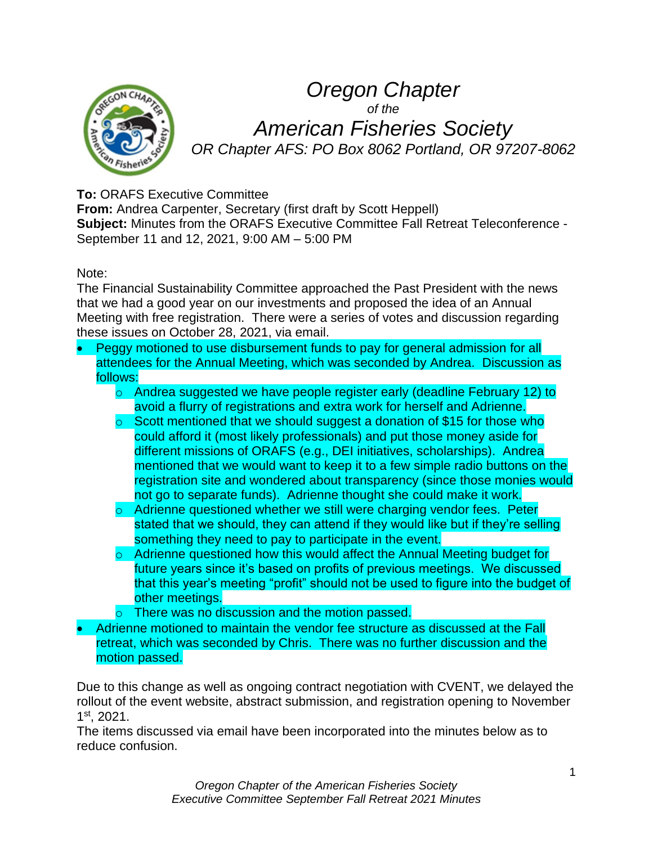

# *Oregon Chapter of the American Fisheries Society OR Chapter AFS: PO Box 8062 Portland, OR 97207-8062*

## **To:** ORAFS Executive Committee

**From:** Andrea Carpenter, Secretary (first draft by Scott Heppell) **Subject:** Minutes from the ORAFS Executive Committee Fall Retreat Teleconference - September 11 and 12, 2021, 9:00 AM – 5:00 PM

Note:

The Financial Sustainability Committee approached the Past President with the news that we had a good year on our investments and proposed the idea of an Annual Meeting with free registration. There were a series of votes and discussion regarding these issues on October 28, 2021, via email.

- Peggy motioned to use disbursement funds to pay for general admission for all attendees for the Annual Meeting, which was seconded by Andrea. Discussion as follows:
	- o Andrea suggested we have people register early (deadline February 12) to avoid a flurry of registrations and extra work for herself and Adrienne.
	- o Scott mentioned that we should suggest a donation of \$15 for those who could afford it (most likely professionals) and put those money aside for different missions of ORAFS (e.g., DEI initiatives, scholarships). Andrea mentioned that we would want to keep it to a few simple radio buttons on the registration site and wondered about transparency (since those monies would not go to separate funds). Adrienne thought she could make it work.
	- o Adrienne questioned whether we still were charging vendor fees. Peter stated that we should, they can attend if they would like but if they're selling something they need to pay to participate in the event.
	- o Adrienne questioned how this would affect the Annual Meeting budget for future years since it's based on profits of previous meetings. We discussed that this year's meeting "profit" should not be used to figure into the budget of other meetings.
	- $\circ$  There was no discussion and the motion passed.
- Adrienne motioned to maintain the vendor fee structure as discussed at the Fall retreat, which was seconded by Chris. There was no further discussion and the motion passed.

Due to this change as well as ongoing contract negotiation with CVENT, we delayed the rollout of the event website, abstract submission, and registration opening to November 1 st, 2021.

The items discussed via email have been incorporated into the minutes below as to reduce confusion.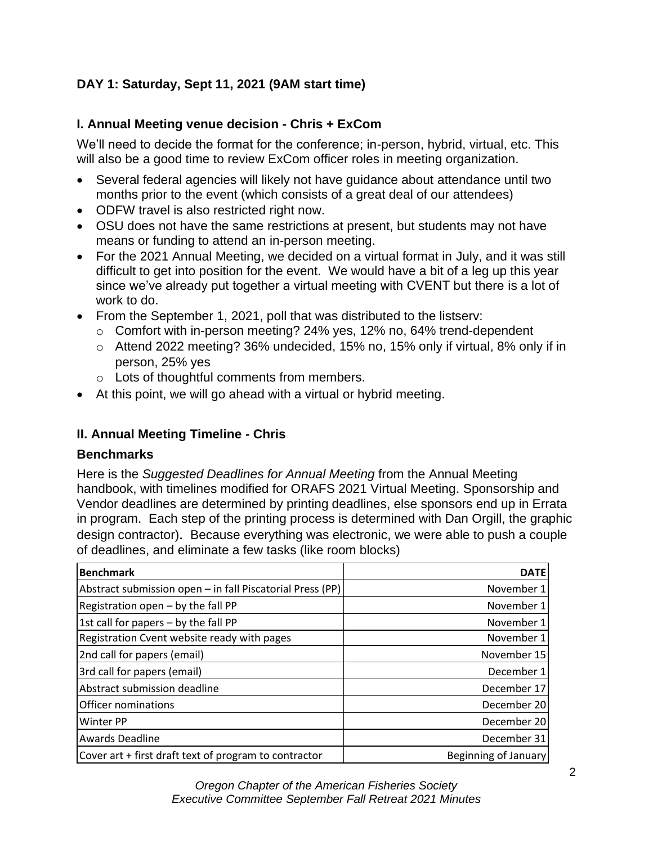## **DAY 1: Saturday, Sept 11, 2021 (9AM start time)**

## **I. Annual Meeting venue decision - Chris + ExCom**

We'll need to decide the format for the conference; in-person, hybrid, virtual, etc. This will also be a good time to review ExCom officer roles in meeting organization.

- Several federal agencies will likely not have guidance about attendance until two months prior to the event (which consists of a great deal of our attendees)
- ODFW travel is also restricted right now.
- OSU does not have the same restrictions at present, but students may not have means or funding to attend an in-person meeting.
- For the 2021 Annual Meeting, we decided on a virtual format in July, and it was still difficult to get into position for the event. We would have a bit of a leg up this year since we've already put together a virtual meeting with CVENT but there is a lot of work to do.
- From the September 1, 2021, poll that was distributed to the listserv:
	- o Comfort with in-person meeting? 24% yes, 12% no, 64% trend-dependent
	- o Attend 2022 meeting? 36% undecided, 15% no, 15% only if virtual, 8% only if in person, 25% yes
	- o Lots of thoughtful comments from members.
- At this point, we will go ahead with a virtual or hybrid meeting.

## **II. Annual Meeting Timeline - Chris**

#### **Benchmarks**

Here is the *Suggested Deadlines for Annual Meeting* from the Annual Meeting handbook, with timelines modified for ORAFS 2021 Virtual Meeting. Sponsorship and Vendor deadlines are determined by printing deadlines, else sponsors end up in Errata in program. Each step of the printing process is determined with Dan Orgill, the graphic design contractor). Because everything was electronic, we were able to push a couple of deadlines, and eliminate a few tasks (like room blocks)

| <b>Benchmark</b>                                          | <b>DATE</b>          |
|-----------------------------------------------------------|----------------------|
| Abstract submission open - in fall Piscatorial Press (PP) | November 1           |
| Registration open $-$ by the fall PP                      | November 1           |
| 1st call for papers - by the fall PP                      | November 1           |
| Registration Cvent website ready with pages               | November 1           |
| 2nd call for papers (email)                               | November 15          |
| 3rd call for papers (email)                               | December 1           |
| Abstract submission deadline                              | December 17          |
| Officer nominations                                       | December 20          |
| <b>Winter PP</b>                                          | December 20          |
| <b>Awards Deadline</b>                                    | December 31          |
| Cover art + first draft text of program to contractor     | Beginning of January |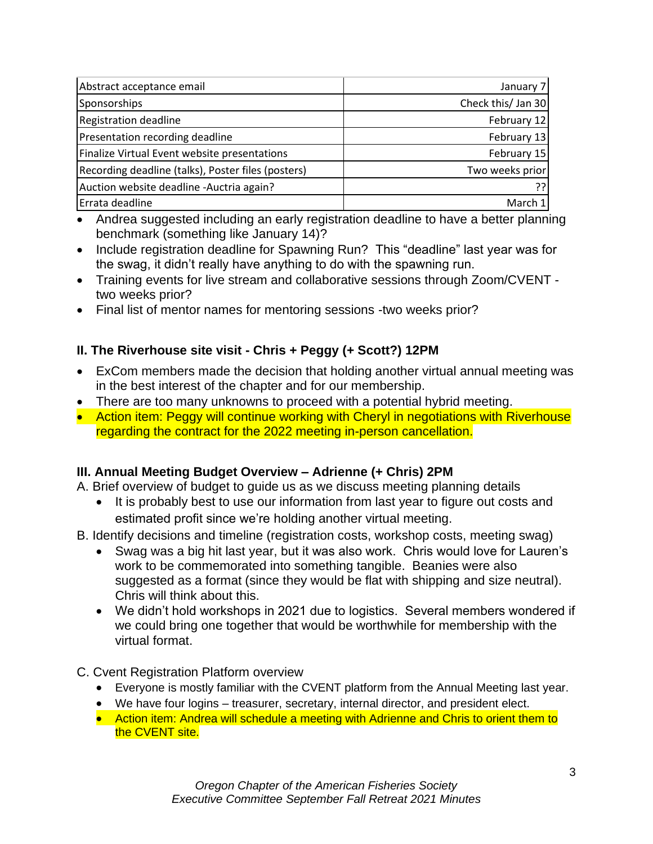| Abstract acceptance email                          | January 7          |
|----------------------------------------------------|--------------------|
| Sponsorships                                       | Check this/ Jan 30 |
| <b>Registration deadline</b>                       | February 12        |
| Presentation recording deadline                    | February 13        |
| Finalize Virtual Event website presentations       | February 15        |
| Recording deadline (talks), Poster files (posters) | Two weeks prior    |
| Auction website deadline - Auctria again?          |                    |
| Errata deadline                                    | March 1            |

- Andrea suggested including an early registration deadline to have a better planning benchmark (something like January 14)?
- Include registration deadline for Spawning Run? This "deadline" last year was for the swag, it didn't really have anything to do with the spawning run.
- Training events for live stream and collaborative sessions through Zoom/CVENT two weeks prior?
- Final list of mentor names for mentoring sessions -two weeks prior?

## **II. The Riverhouse site visit - Chris + Peggy (+ Scott?) 12PM**

- ExCom members made the decision that holding another virtual annual meeting was in the best interest of the chapter and for our membership.
- There are too many unknowns to proceed with a potential hybrid meeting.
- Action item: Peggy will continue working with Cheryl in negotiations with Riverhouse regarding the contract for the 2022 meeting in-person cancellation.

## **III. Annual Meeting Budget Overview – Adrienne (+ Chris) 2PM**

A. Brief overview of budget to guide us as we discuss meeting planning details

- It is probably best to use our information from last year to figure out costs and estimated profit since we're holding another virtual meeting.
- B. Identify decisions and timeline (registration costs, workshop costs, meeting swag)
	- Swag was a big hit last year, but it was also work. Chris would love for Lauren's work to be commemorated into something tangible. Beanies were also suggested as a format (since they would be flat with shipping and size neutral). Chris will think about this.
	- We didn't hold workshops in 2021 due to logistics. Several members wondered if we could bring one together that would be worthwhile for membership with the virtual format.

## C. Cvent Registration Platform overview

- Everyone is mostly familiar with the CVENT platform from the Annual Meeting last year.
- We have four logins treasurer, secretary, internal director, and president elect.
- Action item: Andrea will schedule a meeting with Adrienne and Chris to orient them to the CVENT site.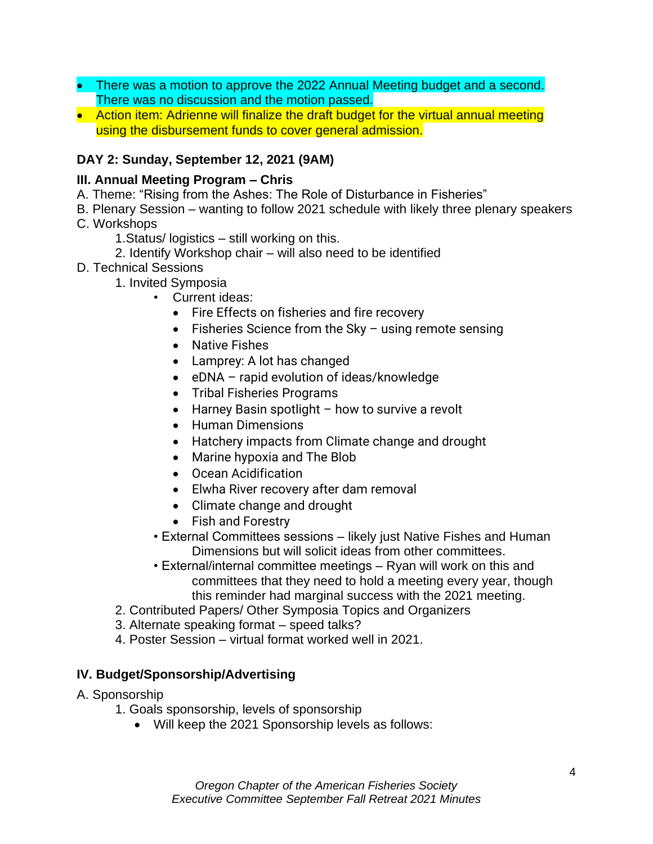- There was a motion to approve the 2022 Annual Meeting budget and a second. There was no discussion and the motion passed.
- Action item: Adrienne will finalize the draft budget for the virtual annual meeting using the disbursement funds to cover general admission.

## **DAY 2: Sunday, September 12, 2021 (9AM)**

#### **III. Annual Meeting Program – Chris**

- A. Theme: "Rising from the Ashes: The Role of Disturbance in Fisheries"
- B. Plenary Session wanting to follow 2021 schedule with likely three plenary speakers C. Workshops
	- 1.Status/ logistics still working on this.
	- 2. Identify Workshop chair will also need to be identified
- D. Technical Sessions
	- 1. Invited Symposia
		- Current ideas:
			- Fire Effects on fisheries and fire recovery
			- Fisheries Science from the Sky using remote sensing
			- Native Fishes
			- Lamprey: A lot has changed
			- eDNA rapid evolution of ideas/knowledge
			- Tribal Fisheries Programs
			- Harney Basin spotlight how to survive a revolt
			- Human Dimensions
			- Hatchery impacts from Climate change and drought
			- Marine hypoxia and The Blob
			- Ocean Acidification
			- Elwha River recovery after dam removal
			- Climate change and drought
			- Fish and Forestry
		- External Committees sessions likely just Native Fishes and Human Dimensions but will solicit ideas from other committees.
		- External/internal committee meetings Ryan will work on this and committees that they need to hold a meeting every year, though this reminder had marginal success with the 2021 meeting.
	- 2. Contributed Papers/ Other Symposia Topics and Organizers
	- 3. Alternate speaking format speed talks?
	- 4. Poster Session virtual format worked well in 2021.

## **IV. Budget/Sponsorship/Advertising**

#### A. Sponsorship

- 1. Goals sponsorship, levels of sponsorship
	- Will keep the 2021 Sponsorship levels as follows: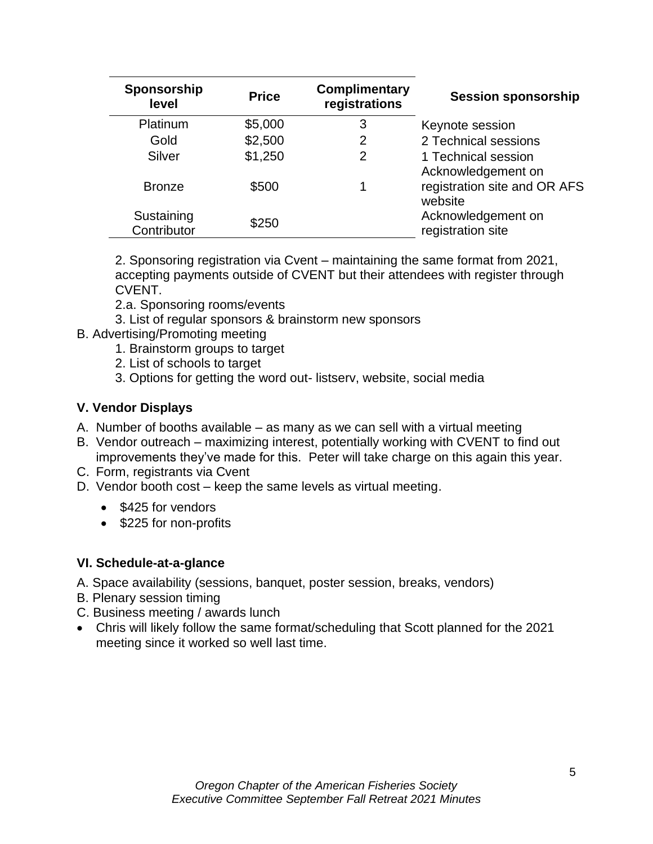| Sponsorship<br>level      | <b>Price</b> | <b>Complimentary</b><br>registrations | <b>Session sponsorship</b>                |
|---------------------------|--------------|---------------------------------------|-------------------------------------------|
| Platinum                  | \$5,000      | 3                                     | Keynote session                           |
| Gold                      | \$2,500      | 2                                     | 2 Technical sessions                      |
| Silver                    | \$1,250      | 2                                     | 1 Technical session<br>Acknowledgement on |
| <b>Bronze</b>             | \$500        |                                       | registration site and OR AFS<br>website   |
| Sustaining<br>Contributor | \$250        |                                       | Acknowledgement on<br>registration site   |

2. Sponsoring registration via Cvent – maintaining the same format from 2021, accepting payments outside of CVENT but their attendees with register through CVENT.

2.a. Sponsoring rooms/events

- 3. List of regular sponsors & brainstorm new sponsors
- B. Advertising/Promoting meeting
	- 1. Brainstorm groups to target
	- 2. List of schools to target
	- 3. Options for getting the word out- listserv, website, social media

## **V. Vendor Displays**

- A. Number of booths available as many as we can sell with a virtual meeting
- B. Vendor outreach maximizing interest, potentially working with CVENT to find out improvements they've made for this. Peter will take charge on this again this year.
- C. Form, registrants via Cvent
- D. Vendor booth cost keep the same levels as virtual meeting.
	- \$425 for vendors
	- \$225 for non-profits

## **VI. Schedule-at-a-glance**

- A. Space availability (sessions, banquet, poster session, breaks, vendors)
- B. Plenary session timing
- C. Business meeting / awards lunch
- Chris will likely follow the same format/scheduling that Scott planned for the 2021 meeting since it worked so well last time.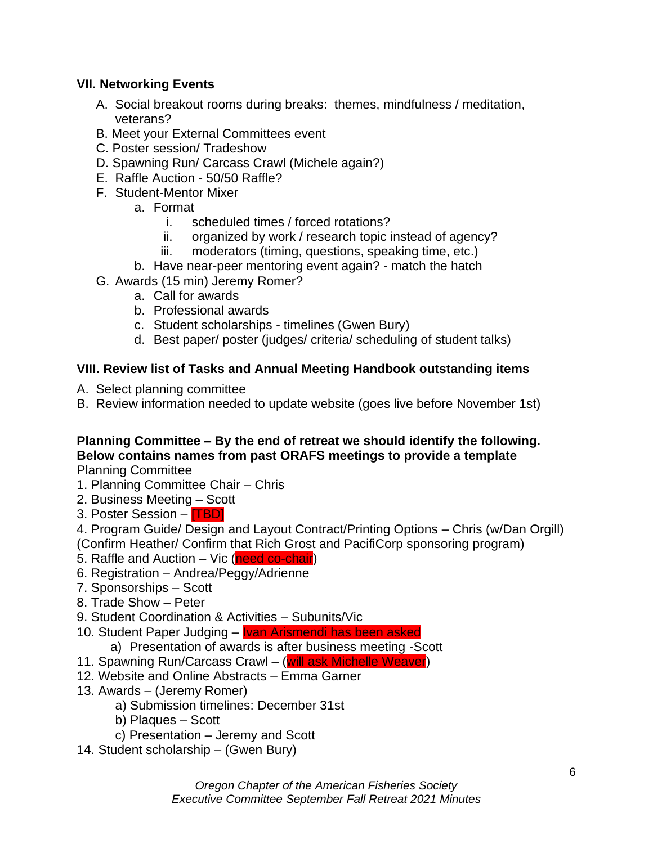## **VII. Networking Events**

- A. Social breakout rooms during breaks: themes, mindfulness / meditation, veterans?
- B. Meet your External Committees event
- C. Poster session/ Tradeshow
- D. Spawning Run/ Carcass Crawl (Michele again?)
- E. Raffle Auction 50/50 Raffle?
- F. Student-Mentor Mixer
	- a. Format
		- i. scheduled times / forced rotations?
		- ii. organized by work / research topic instead of agency?
		- iii. moderators (timing, questions, speaking time, etc.)
	- b. Have near-peer mentoring event again? match the hatch
- G. Awards (15 min) Jeremy Romer?
	- a. Call for awards
	- b. Professional awards
	- c. Student scholarships timelines (Gwen Bury)
	- d. Best paper/ poster (judges/ criteria/ scheduling of student talks)

#### **VIII. Review list of Tasks and Annual Meeting Handbook outstanding items**

- A. Select planning committee
- B. Review information needed to update website (goes live before November 1st)

# **Planning Committee – By the end of retreat we should identify the following. Below contains names from past ORAFS meetings to provide a template**

Planning Committee

- 1. Planning Committee Chair Chris
- 2. Business Meeting Scott
- 3. Poster Session **[TBD]**

4. Program Guide/ Design and Layout Contract/Printing Options – Chris (w/Dan Orgill) (Confirm Heather/ Confirm that Rich Grost and PacifiCorp sponsoring program)

- 5. Raffle and Auction Vic (need co-chair)
- 6. Registration Andrea/Peggy/Adrienne
- 7. Sponsorships Scott
- 8. Trade Show Peter
- 9. Student Coordination & Activities Subunits/Vic
- 10. Student Paper Judging **Ivan Arismendi has been asked** 
	- a) Presentation of awards is after business meeting -Scott
- 11. Spawning Run/Carcass Crawl (will ask Michelle Weaver)
- 12. Website and Online Abstracts Emma Garner
- 13. Awards (Jeremy Romer)
	- a) Submission timelines: December 31st
	- b) Plaques Scott
	- c) Presentation Jeremy and Scott
- 14. Student scholarship (Gwen Bury)